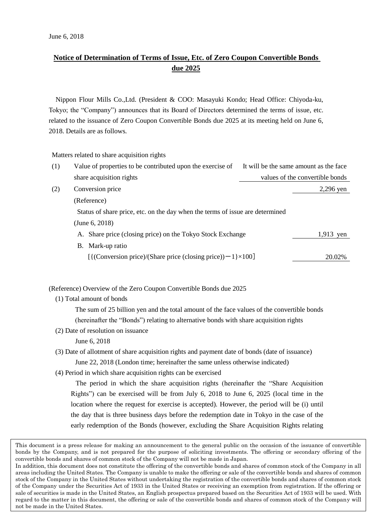## **Notice of Determination of Terms of Issue, Etc. of Zero Coupon Convertible Bonds due 2025**

Nippon Flour Mills Co.,Ltd. (President & COO: Masayuki Kondo; Head Office: Chiyoda-ku, Tokyo; the "Company") announces that its Board of Directors determined the terms of issue, etc. related to the issuance of Zero Coupon Convertible Bonds due 2025 at its meeting held on June 6, 2018. Details are as follows.

Matters related to share acquisition rights

| (1) | Value of properties to be contributed upon the exercise of                    | It will be the same amount as the face |
|-----|-------------------------------------------------------------------------------|----------------------------------------|
|     | share acquisition rights                                                      | values of the convertible bonds        |
| (2) | Conversion price                                                              | $2,296$ yen                            |
|     | (Reference)                                                                   |                                        |
|     | Status of share price, etc. on the day when the terms of issue are determined |                                        |
|     | (June $6, 2018$ )                                                             |                                        |
|     | A. Share price (closing price) on the Tokyo Stock Exchange                    | 1,913 yen                              |
|     | B. Mark-up ratio                                                              |                                        |
|     | $[$ {(Conversion price)/(Share price (closing price)) – 1 $\times$ 100]       | 20.02%                                 |

(Reference) Overview of the Zero Coupon Convertible Bonds due 2025

(1) Total amount of bonds

The sum of 25 billion yen and the total amount of the face values of the convertible bonds (hereinafter the "Bonds") relating to alternative bonds with share acquisition rights

(2) Date of resolution on issuance

June 6, 2018

(3) Date of allotment of share acquisition rights and payment date of bonds (date of issuance)

June 22, 2018 (London time; hereinafter the same unless otherwise indicated)

(4) Period in which share acquisition rights can be exercised

The period in which the share acquisition rights (hereinafter the "Share Acquisition Rights") can be exercised will be from July 6, 2018 to June 6, 2025 (local time in the location where the request for exercise is accepted). However, the period will be (i) until the day that is three business days before the redemption date in Tokyo in the case of the early redemption of the Bonds (however, excluding the Share Acquisition Rights relating

This document is a press release for making an announcement to the general public on the occasion of the issuance of convertible bonds by the Company, and is not prepared for the purpose of soliciting investments. The offering or secondary offering of the convertible bonds and shares of common stock of the Company will not be made in Japan.

In addition, this document does not constitute the offering of the convertible bonds and shares of common stock of the Company in all areas including the United States. The Company is unable to make the offering or sale of the convertible bonds and shares of common stock of the Company in the United States without undertaking the registration of the convertible bonds and shares of common stock of the Company under the Securities Act of 1933 in the United States or receiving an exemption from registration. If the offering or sale of securities is made in the United States, an English prospectus prepared based on the Securities Act of 1933 will be used. With regard to the matter in this document, the offering or sale of the convertible bonds and shares of common stock of the Company will not be made in the United States.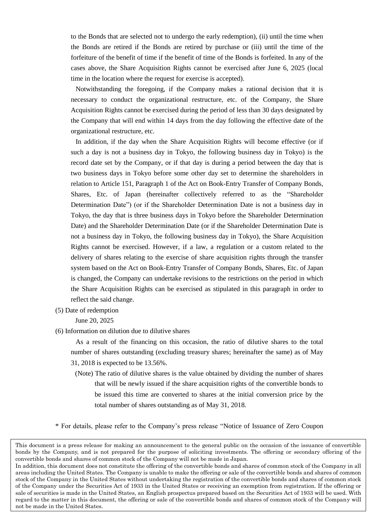to the Bonds that are selected not to undergo the early redemption), (ii) until the time when the Bonds are retired if the Bonds are retired by purchase or (iii) until the time of the forfeiture of the benefit of time if the benefit of time of the Bonds is forfeited. In any of the cases above, the Share Acquisition Rights cannot be exercised after June 6, 2025 (local time in the location where the request for exercise is accepted).

Notwithstanding the foregoing, if the Company makes a rational decision that it is necessary to conduct the organizational restructure, etc. of the Company, the Share Acquisition Rights cannot be exercised during the period of less than 30 days designated by the Company that will end within 14 days from the day following the effective date of the organizational restructure, etc.

In addition, if the day when the Share Acquisition Rights will become effective (or if such a day is not a business day in Tokyo, the following business day in Tokyo) is the record date set by the Company, or if that day is during a period between the day that is two business days in Tokyo before some other day set to determine the shareholders in relation to Article 151, Paragraph 1 of the Act on Book-Entry Transfer of Company Bonds, Shares, Etc. of Japan (hereinafter collectively referred to as the "Shareholder Determination Date") (or if the Shareholder Determination Date is not a business day in Tokyo, the day that is three business days in Tokyo before the Shareholder Determination Date) and the Shareholder Determination Date (or if the Shareholder Determination Date is not a business day in Tokyo, the following business day in Tokyo), the Share Acquisition Rights cannot be exercised. However, if a law, a regulation or a custom related to the delivery of shares relating to the exercise of share acquisition rights through the transfer system based on the Act on Book-Entry Transfer of Company Bonds, Shares, Etc. of Japan is changed, the Company can undertake revisions to the restrictions on the period in which the Share Acquisition Rights can be exercised as stipulated in this paragraph in order to reflect the said change.

(5) Date of redemption

June 20, 2025

(6) Information on dilution due to dilutive shares

As a result of the financing on this occasion, the ratio of dilutive shares to the total number of shares outstanding (excluding treasury shares; hereinafter the same) as of May 31, 2018 is expected to be 13.56%.

(Note) The ratio of dilutive shares is the value obtained by dividing the number of shares that will be newly issued if the share acquisition rights of the convertible bonds to be issued this time are converted to shares at the initial conversion price by the total number of shares outstanding as of May 31, 2018.

\* For details, please refer to the Company's press release "Notice of Issuance of Zero Coupon

This document is a press release for making an announcement to the general public on the occasion of the issuance of convertible bonds by the Company, and is not prepared for the purpose of soliciting investments. The offering or secondary offering of the convertible bonds and shares of common stock of the Company will not be made in Japan.

In addition, this document does not constitute the offering of the convertible bonds and shares of common stock of the Company in all areas including the United States. The Company is unable to make the offering or sale of the convertible bonds and shares of common stock of the Company in the United States without undertaking the registration of the convertible bonds and shares of common stock of the Company under the Securities Act of 1933 in the United States or receiving an exemption from registration. If the offering or sale of securities is made in the United States, an English prospectus prepared based on the Securities Act of 1933 will be used. With regard to the matter in this document, the offering or sale of the convertible bonds and shares of common stock of the Company will not be made in the United States.